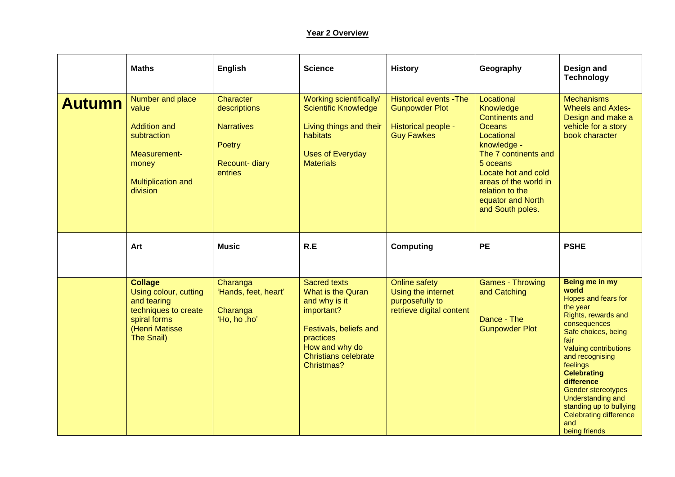## **Year 2 Overview**

|               | <b>Maths</b>                                                                                                                          | English                                                                                     | <b>Science</b>                                                                                                                                                                | <b>History</b>                                                                                      | Geography                                                                                                                                                                                                                                      | Design and<br><b>Technology</b>                                                                                                                                                                                                                                                                                                                                    |
|---------------|---------------------------------------------------------------------------------------------------------------------------------------|---------------------------------------------------------------------------------------------|-------------------------------------------------------------------------------------------------------------------------------------------------------------------------------|-----------------------------------------------------------------------------------------------------|------------------------------------------------------------------------------------------------------------------------------------------------------------------------------------------------------------------------------------------------|--------------------------------------------------------------------------------------------------------------------------------------------------------------------------------------------------------------------------------------------------------------------------------------------------------------------------------------------------------------------|
| <b>Autumn</b> | Number and place<br>value<br><b>Addition and</b><br>subtraction<br>Measurement-<br>money<br>Multiplication and<br>division            | Character<br>descriptions<br><b>Narratives</b><br>Poetry<br><b>Recount-diary</b><br>entries | Working scientifically/<br><b>Scientific Knowledge</b><br>Living things and their<br>habitats<br><b>Uses of Everyday</b><br><b>Materials</b>                                  | <b>Historical events - The</b><br><b>Gunpowder Plot</b><br>Historical people -<br><b>Guy Fawkes</b> | Locational<br>Knowledge<br><b>Continents and</b><br><b>Oceans</b><br>Locational<br>knowledge -<br>The 7 continents and<br>5 oceans<br>Locate hot and cold<br>areas of the world in<br>relation to the<br>equator and North<br>and South poles. | <b>Mechanisms</b><br><b>Wheels and Axles-</b><br>Design and make a<br>vehicle for a story<br>book character                                                                                                                                                                                                                                                        |
|               | Art                                                                                                                                   | <b>Music</b>                                                                                | R.E                                                                                                                                                                           | <b>Computing</b>                                                                                    | <b>PE</b>                                                                                                                                                                                                                                      | <b>PSHE</b>                                                                                                                                                                                                                                                                                                                                                        |
|               | <b>Collage</b><br>Using colour, cutting<br>and tearing<br>techniques to create<br>spiral forms<br>(Henri Matisse<br><b>The Snail)</b> | Charanga<br>'Hands, feet, heart'<br>Charanga<br>'Ho, ho, ho'                                | <b>Sacred texts</b><br>What is the Quran<br>and why is it<br>important?<br>Festivals, beliefs and<br>practices<br>How and why do<br><b>Christians celebrate</b><br>Christmas? | <b>Online safety</b><br>Using the internet<br>purposefully to<br>retrieve digital content           | <b>Games - Throwing</b><br>and Catching<br>Dance - The<br><b>Gunpowder Plot</b>                                                                                                                                                                | Being me in my<br>world<br>Hopes and fears for<br>the year<br>Rights, rewards and<br>consequences<br>Safe choices, being<br>fair<br>Valuing contributions<br>and recognising<br>feelings<br><b>Celebrating</b><br>difference<br>Gender stereotypes<br><b>Understanding and</b><br>standing up to bullying<br><b>Celebrating difference</b><br>and<br>being friends |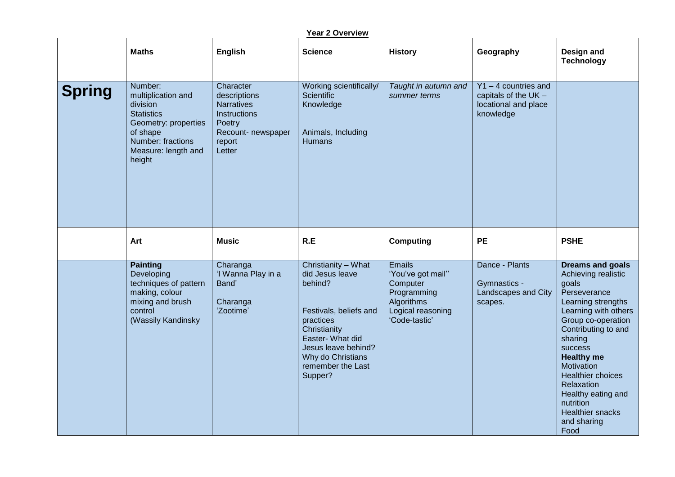| <b>Year 2 Overview</b> |                                                                                                                                                          |                                                                                                                    |                                                                                                                                                                                                          |                                                                                                                   |                                                                                       |                                                                                                                                                                                                                                                                                                                                                            |  |  |
|------------------------|----------------------------------------------------------------------------------------------------------------------------------------------------------|--------------------------------------------------------------------------------------------------------------------|----------------------------------------------------------------------------------------------------------------------------------------------------------------------------------------------------------|-------------------------------------------------------------------------------------------------------------------|---------------------------------------------------------------------------------------|------------------------------------------------------------------------------------------------------------------------------------------------------------------------------------------------------------------------------------------------------------------------------------------------------------------------------------------------------------|--|--|
|                        | <b>Maths</b>                                                                                                                                             | English                                                                                                            | <b>Science</b>                                                                                                                                                                                           | <b>History</b>                                                                                                    | Geography                                                                             | Design and<br><b>Technology</b>                                                                                                                                                                                                                                                                                                                            |  |  |
| <b>Spring</b>          | Number:<br>multiplication and<br>division<br><b>Statistics</b><br>Geometry: properties<br>of shape<br>Number: fractions<br>Measure: length and<br>height | Character<br>descriptions<br><b>Narratives</b><br>Instructions<br>Poetry<br>Recount- newspaper<br>report<br>Letter | Working scientifically/<br><b>Scientific</b><br>Knowledge<br>Animals, Including<br><b>Humans</b>                                                                                                         | Taught in autumn and<br>summer terms                                                                              | $Y1 - 4$ countries and<br>capitals of the $UK -$<br>locational and place<br>knowledge |                                                                                                                                                                                                                                                                                                                                                            |  |  |
|                        | Art                                                                                                                                                      | <b>Music</b>                                                                                                       | R.E                                                                                                                                                                                                      | <b>Computing</b>                                                                                                  | <b>PE</b>                                                                             | <b>PSHE</b>                                                                                                                                                                                                                                                                                                                                                |  |  |
|                        | <b>Painting</b><br>Developing<br>techniques of pattern<br>making, colour<br>mixing and brush<br>control<br>(Wassily Kandinsky                            | Charanga<br>'I Wanna Play in a<br>Band'<br>Charanga<br>'Zootime'                                                   | Christianity - What<br>did Jesus leave<br>behind?<br>Festivals, beliefs and<br>practices<br>Christianity<br>Easter- What did<br>Jesus leave behind?<br>Why do Christians<br>remember the Last<br>Supper? | <b>Emails</b><br>'You've got mail"<br>Computer<br>Programming<br>Algorithms<br>Logical reasoning<br>'Code-tastic' | Dance - Plants<br>Gymnastics -<br>Landscapes and City<br>scapes.                      | <b>Dreams and goals</b><br>Achieving realistic<br>goals<br>Perseverance<br>Learning strengths<br>Learning with others<br>Group co-operation<br>Contributing to and<br>sharing<br><b>success</b><br><b>Healthy me</b><br>Motivation<br>Healthier choices<br>Relaxation<br>Healthy eating and<br>nutrition<br><b>Healthier snacks</b><br>and sharing<br>Food |  |  |